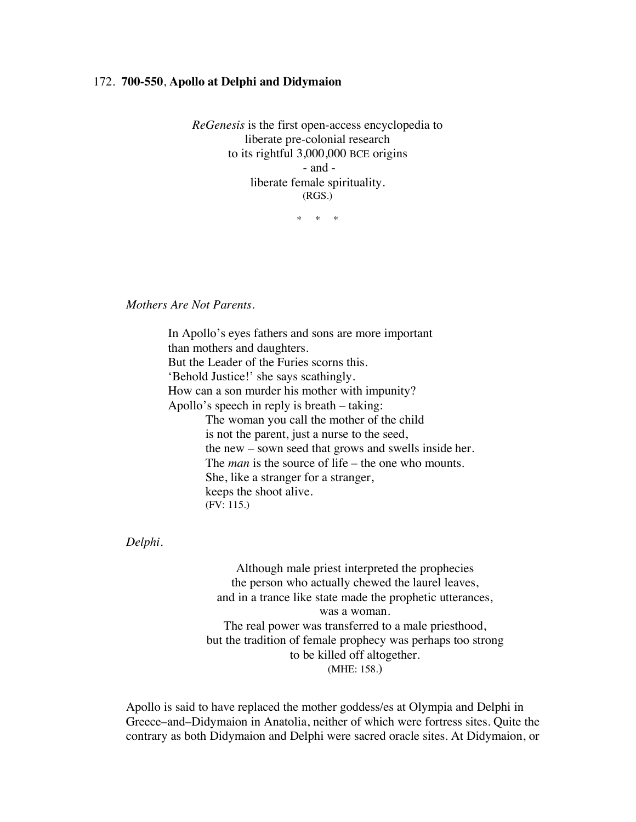## 172. **700-550**, **Apollo at Delphi and Didymaion**

*ReGenesis* is the first open-access encyclopedia to liberate pre-colonial research to its rightful 3,000,000 BCE origins - and liberate female spirituality. (RGS.)

\* \* \*

*Mothers Are Not Parents.*

In Apollo's eyes fathers and sons are more important than mothers and daughters. But the Leader of the Furies scorns this. 'Behold Justice!' she says scathingly. How can a son murder his mother with impunity? Apollo's speech in reply is breath – taking: The woman you call the mother of the child is not the parent, just a nurse to the seed, the new – sown seed that grows and swells inside her. The *man* is the source of life – the one who mounts. She, like a stranger for a stranger, keeps the shoot alive. (FV: 115.)

*Delphi.*

Although male priest interpreted the prophecies the person who actually chewed the laurel leaves, and in a trance like state made the prophetic utterances, was a woman. The real power was transferred to a male priesthood, but the tradition of female prophecy was perhaps too strong to be killed off altogether. (MHE: 158.)

Apollo is said to have replaced the mother goddess/es at Olympia and Delphi in Greece–and–Didymaion in Anatolia, neither of which were fortress sites. Quite the contrary as both Didymaion and Delphi were sacred oracle sites. At Didymaion, or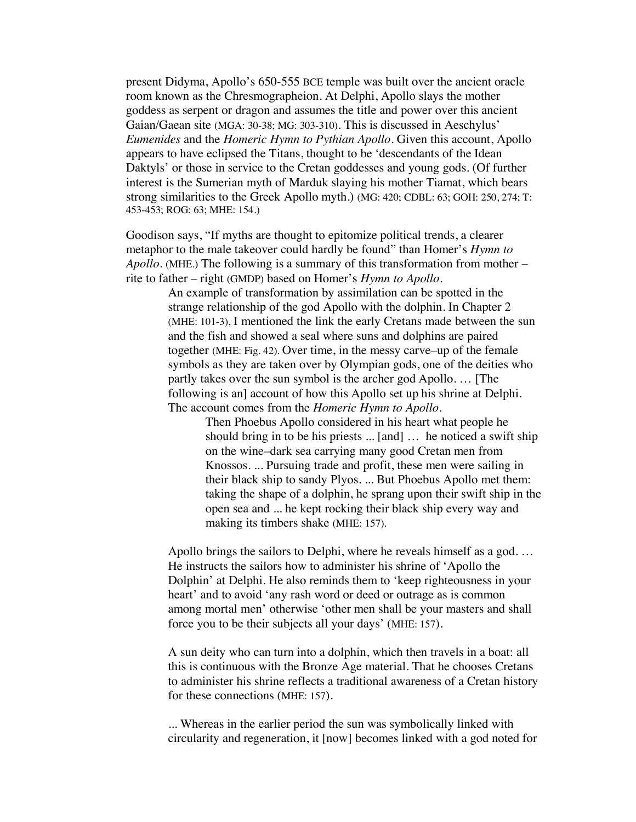present Didyma, Apollo's 650-555 BCE temple was built over the ancient oracle room known as the Chresmographeion. At Delphi, Apollo slays the mother goddess as serpent or dragon and assumes the title and power over this ancient Gaian/Gaean site (MGA: 30-38; MG: 303-310). This is discussed in Aeschylus' *Eumenides* and the *Homeric Hymn to Pythian Apollo*. Given this account, Apollo appears to have eclipsed the Titans, thought to be 'descendants of the Idean Daktyls' or those in service to the Cretan goddesses and young gods. (Of further interest is the Sumerian myth of Marduk slaying his mother Tiamat, which bears strong similarities to the Greek Apollo myth.) (MG: 420; CDBL: 63; GOH: 250, 274; T: 453-453; ROG: 63; MHE: 154.)

Goodison says, "If myths are thought to epitomize political trends, a clearer metaphor to the male takeover could hardly be found" than Homer's *Hymn to Apollo.* (MHE.) The following is a summary of this transformation from mother – rite to father – right (GMDP) based on Homer's *Hymn to Apollo*.

> An example of transformation by assimilation can be spotted in the strange relationship of the god Apollo with the dolphin. In Chapter 2 (MHE: 101-3), I mentioned the link the early Cretans made between the sun and the fish and showed a seal where suns and dolphins are paired together (MHE: Fig. 42). Over time, in the messy carve–up of the female symbols as they are taken over by Olympian gods, one of the deities who partly takes over the sun symbol is the archer god Apollo. … [The following is an] account of how this Apollo set up his shrine at Delphi. The account comes from the *Homeric Hymn to Apollo*.

Then Phoebus Apollo considered in his heart what people he should bring in to be his priests ... [and] … he noticed a swift ship on the wine–dark sea carrying many good Cretan men from Knossos. ... Pursuing trade and profit, these men were sailing in their black ship to sandy Plyos. ... But Phoebus Apollo met them: taking the shape of a dolphin, he sprang upon their swift ship in the open sea and ... he kept rocking their black ship every way and making its timbers shake (MHE: 157).

Apollo brings the sailors to Delphi, where he reveals himself as a god. … He instructs the sailors how to administer his shrine of 'Apollo the Dolphin' at Delphi. He also reminds them to 'keep righteousness in your heart' and to avoid 'any rash word or deed or outrage as is common among mortal men' otherwise 'other men shall be your masters and shall force you to be their subjects all your days' (MHE: 157).

A sun deity who can turn into a dolphin, which then travels in a boat: all this is continuous with the Bronze Age material. That he chooses Cretans to administer his shrine reflects a traditional awareness of a Cretan history for these connections (MHE: 157).

... Whereas in the earlier period the sun was symbolically linked with circularity and regeneration, it [now] becomes linked with a god noted for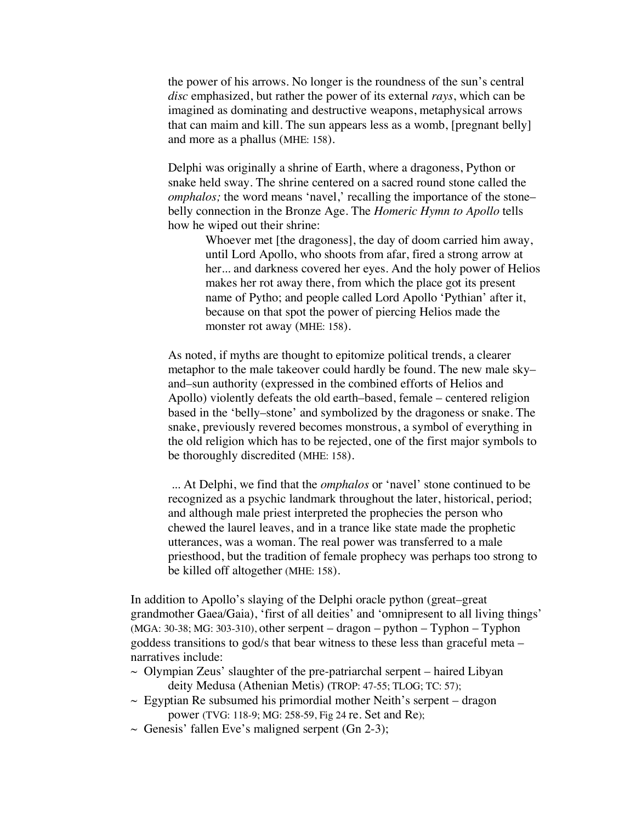the power of his arrows. No longer is the roundness of the sun's central *disc* emphasized, but rather the power of its external *rays*, which can be imagined as dominating and destructive weapons, metaphysical arrows that can maim and kill. The sun appears less as a womb, [pregnant belly] and more as a phallus (MHE: 158).

Delphi was originally a shrine of Earth, where a dragoness, Python or snake held sway. The shrine centered on a sacred round stone called the *omphalos;* the word means 'navel,' recalling the importance of the stone– belly connection in the Bronze Age. The *Homeric Hymn to Apollo* tells how he wiped out their shrine:

> Whoever met [the dragoness], the day of doom carried him away, until Lord Apollo, who shoots from afar, fired a strong arrow at her... and darkness covered her eyes. And the holy power of Helios makes her rot away there, from which the place got its present name of Pytho; and people called Lord Apollo 'Pythian' after it, because on that spot the power of piercing Helios made the monster rot away (MHE: 158).

As noted, if myths are thought to epitomize political trends, a clearer metaphor to the male takeover could hardly be found. The new male sky– and–sun authority (expressed in the combined efforts of Helios and Apollo) violently defeats the old earth–based, female – centered religion based in the 'belly–stone' and symbolized by the dragoness or snake. The snake, previously revered becomes monstrous, a symbol of everything in the old religion which has to be rejected, one of the first major symbols to be thoroughly discredited (MHE: 158).

... At Delphi, we find that the *omphalos* or 'navel' stone continued to be recognized as a psychic landmark throughout the later, historical, period; and although male priest interpreted the prophecies the person who chewed the laurel leaves, and in a trance like state made the prophetic utterances, was a woman. The real power was transferred to a male priesthood, but the tradition of female prophecy was perhaps too strong to be killed off altogether (MHE: 158).

In addition to Apollo's slaying of the Delphi oracle python (great–great grandmother Gaea/Gaia), 'first of all deities' and 'omnipresent to all living things' (MGA: 30-38; MG: 303-310), other serpent – dragon – python – Typhon – Typhon goddess transitions to god/s that bear witness to these less than graceful meta – narratives include:

- $\sim$  Olympian Zeus' slaughter of the pre-patriarchal serpent haired Libyan deity Medusa (Athenian Metis) **(**TROP: 47-55; TLOG; TC: 57);
- $\sim$  Egyptian Re subsumed his primordial mother Neith's serpent dragon power (TVG: 118-9; MG: 258-59, Fig 24 re. Set and Re);
- $\sim$  Genesis' fallen Eve's maligned serpent (Gn 2-3);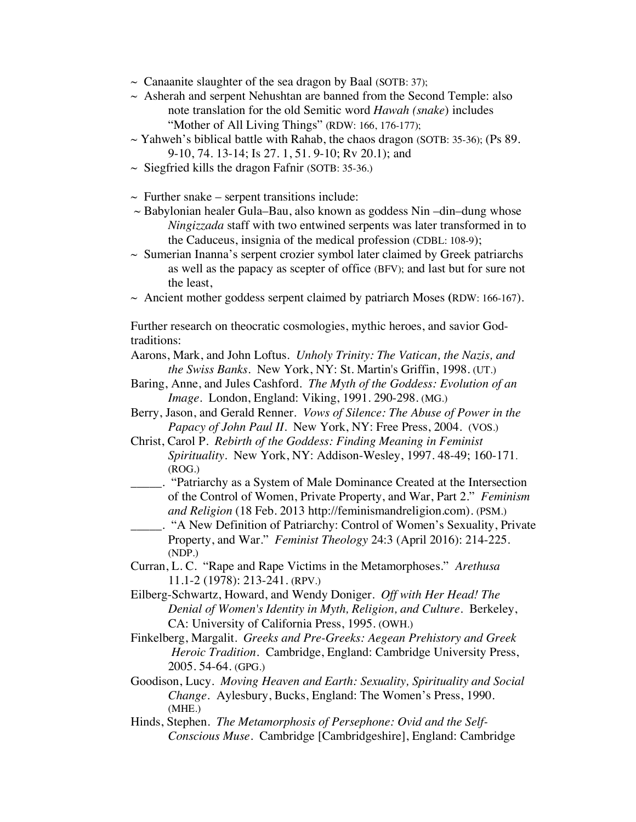- $\sim$  Canaanite slaughter of the sea dragon by Baal (SOTB: 37);
- $\sim$  Asherah and serpent Nehushtan are banned from the Second Temple: also note translation for the old Semitic word *Hawah (snake*) includes "Mother of All Living Things" (RDW: 166, 176-177);
- $\sim$  Yahweh's biblical battle with Rahab, the chaos dragon (SOTB: 35-36); (Ps 89. 9-10, 74. 13-14; Is 27. 1, 51. 9-10; Rv 20.1); and
- $\sim$  Siegfried kills the dragon Fafnir (SOTB: 35-36.)
- $\sim$  Further snake serpent transitions include:
- $\sim$  Babylonian healer Gula–Bau, also known as goddess Nin –din–dung whose *Ningizzada* staff with two entwined serpents was later transformed in to the Caduceus, insignia of the medical profession (CDBL: 108-9);
- $\sim$  Sumerian Inanna's serpent crozier symbol later claimed by Greek patriarchs as well as the papacy as scepter of office (BFV); and last but for sure not the least,
- $\sim$  Ancient mother goddess serpent claimed by patriarch Moses (RDW: 166-167).

Further research on theocratic cosmologies, mythic heroes, and savior Godtraditions:

- Aarons, Mark, and John Loftus. *Unholy Trinity: The Vatican, the Nazis, and the Swiss Banks*. New York, NY: St. Martin's Griffin, 1998. (UT.)
- Baring, Anne, and Jules Cashford. *The Myth of the Goddess: Evolution of an Image*. London, England: Viking, 1991. 290-298. (MG.)
- Berry, Jason, and Gerald Renner. *Vows of Silence: The Abuse of Power in the Papacy of John Paul II*. New York, NY: Free Press, 2004. (VOS.)
- Christ, Carol P. *Rebirth of the Goddess: Finding Meaning in Feminist Spirituality*. New York, NY: Addison-Wesley, 1997. 48-49; 160-171. (ROG.)
- \_\_\_\_\_. "Patriarchy as a System of Male Dominance Created at the Intersection of the Control of Women, Private Property, and War, Part 2." *Feminism and Religion* (18 Feb. 2013 http://feminismandreligion.com). (PSM.)
	- \_\_\_\_\_. "A New Definition of Patriarchy: Control of Women's Sexuality, Private Property, and War." *Feminist Theology* 24:3 (April 2016): 214-225. (NDP.)
- Curran, L. C. "Rape and Rape Victims in the Metamorphoses." *Arethusa* 11.1-2 (1978): 213-241. (RPV.)
- Eilberg-Schwartz, Howard, and Wendy Doniger. *Off with Her Head! The Denial of Women's Identity in Myth, Religion, and Culture*. Berkeley, CA: University of California Press, 1995. (OWH.)
- Finkelberg, Margalit. *Greeks and Pre-Greeks: Aegean Prehistory and Greek Heroic Tradition.* Cambridge, England: Cambridge University Press, 2005. 54-64. (GPG.)
- Goodison, Lucy. *Moving Heaven and Earth: Sexuality, Spirituality and Social Change.* Aylesbury, Bucks, England: The Women's Press, 1990. (MHE.)
- Hinds, Stephen. *The Metamorphosis of Persephone: Ovid and the Self-Conscious Muse*. Cambridge [Cambridgeshire], England: Cambridge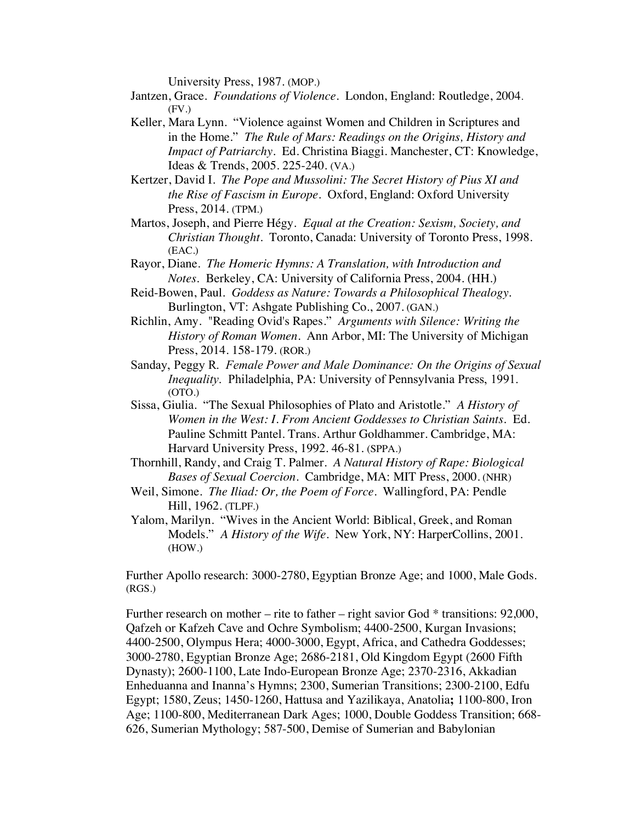University Press, 1987. (MOP.)

- Jantzen, Grace. *Foundations of Violence*. London, England: Routledge, 2004.  $(FV)$
- Keller, Mara Lynn. "Violence against Women and Children in Scriptures and in the Home." *The Rule of Mars: Readings on the Origins, History and Impact of Patriarchy.* Ed. Christina Biaggi. Manchester, CT: Knowledge, Ideas & Trends, 2005. 225-240. (VA.)
- Kertzer, David I. *The Pope and Mussolini: The Secret History of Pius XI and the Rise of Fascism in Europe.* Oxford, England: Oxford University Press, 2014. (TPM.)
- Martos, Joseph, and Pierre Hégy. *Equal at the Creation: Sexism, Society, and Christian Thought*. Toronto, Canada: University of Toronto Press, 1998. (EAC.)
- Rayor, Diane. *The Homeric Hymns: A Translation, with Introduction and Notes.* Berkeley, CA: University of California Press, 2004. (HH.)
- Reid-Bowen, Paul. *Goddess as Nature: Towards a Philosophical Thealogy.* Burlington, VT: Ashgate Publishing Co., 2007. (GAN.)
- Richlin, Amy. "Reading Ovid's Rapes." *Arguments with Silence: Writing the History of Roman Women*. Ann Arbor, MI: The University of Michigan Press, 2014. 158-179. (ROR.)
- Sanday, Peggy R. *Female Power and Male Dominance: On the Origins of Sexual Inequality*. Philadelphia, PA: University of Pennsylvania Press, 1991. (OTO.)
- Sissa, Giulia. "The Sexual Philosophies of Plato and Aristotle." *A History of Women in the West: I. From Ancient Goddesses to Christian Saints.* Ed. Pauline Schmitt Pantel. Trans. Arthur Goldhammer. Cambridge, MA: Harvard University Press, 1992. 46-81. (SPPA.)
- Thornhill, Randy, and Craig T. Palmer. *A Natural History of Rape: Biological Bases of Sexual Coercion*. Cambridge, MA: MIT Press, 2000. (NHR)
- Weil, Simone. *The Iliad: Or, the Poem of Force*. Wallingford, PA: Pendle Hill, 1962. (TLPF.)
- Yalom, Marilyn. "Wives in the Ancient World: Biblical, Greek, and Roman Models." *A History of the Wife*. New York, NY: HarperCollins, 2001. (HOW.)

Further Apollo research: 3000-2780, Egyptian Bronze Age; and 1000, Male Gods. (RGS.)

Further research on mother – rite to father – right savior God  $*$  transitions: 92,000, Qafzeh or Kafzeh Cave and Ochre Symbolism; 4400-2500, Kurgan Invasions; 4400-2500, Olympus Hera; 4000-3000, Egypt, Africa, and Cathedra Goddesses; 3000-2780, Egyptian Bronze Age; 2686-2181, Old Kingdom Egypt (2600 Fifth Dynasty); 2600-1100, Late Indo-European Bronze Age; 2370-2316, Akkadian Enheduanna and Inanna's Hymns; 2300, Sumerian Transitions; 2300-2100, Edfu Egypt; 1580, Zeus; 1450-1260, Hattusa and Yazilikaya, Anatolia**;** 1100-800, Iron Age; 1100-800, Mediterranean Dark Ages; 1000, Double Goddess Transition; 668- 626, Sumerian Mythology; 587-500, Demise of Sumerian and Babylonian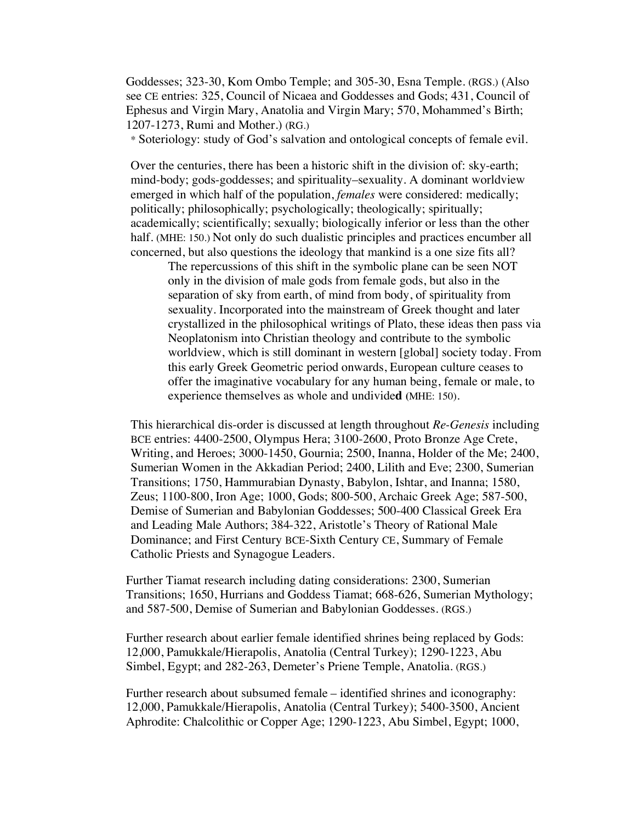Goddesses; 323-30, Kom Ombo Temple; and 305-30, Esna Temple. (RGS.) (Also see CE entries: 325, Council of Nicaea and Goddesses and Gods; 431, Council of Ephesus and Virgin Mary, Anatolia and Virgin Mary; 570, Mohammed's Birth; 1207-1273, Rumi and Mother.) (RG.)

\* Soteriology: study of God's salvation and ontological concepts of female evil.

Over the centuries, there has been a historic shift in the division of: sky-earth; mind-body; gods-goddesses; and spirituality–sexuality. A dominant worldview emerged in which half of the population, *females* were considered: medically; politically; philosophically; psychologically; theologically; spiritually; academically; scientifically; sexually; biologically inferior or less than the other half. (MHE: 150.) Not only do such dualistic principles and practices encumber all concerned, but also questions the ideology that mankind is a one size fits all?

The repercussions of this shift in the symbolic plane can be seen NOT only in the division of male gods from female gods, but also in the separation of sky from earth, of mind from body, of spirituality from sexuality. Incorporated into the mainstream of Greek thought and later crystallized in the philosophical writings of Plato, these ideas then pass via Neoplatonism into Christian theology and contribute to the symbolic worldview, which is still dominant in western [global] society today. From this early Greek Geometric period onwards, European culture ceases to offer the imaginative vocabulary for any human being, female or male, to experience themselves as whole and undivide**d (**MHE: 150).

This hierarchical dis-order is discussed at length throughout *Re-Genesis* including BCE entries: 4400-2500, Olympus Hera; 3100-2600, Proto Bronze Age Crete, Writing, and Heroes; 3000-1450, Gournia; 2500, Inanna, Holder of the Me; 2400, Sumerian Women in the Akkadian Period; 2400, Lilith and Eve; 2300, Sumerian Transitions; 1750, Hammurabian Dynasty, Babylon, Ishtar, and Inanna; 1580, Zeus; 1100-800, Iron Age; 1000, Gods; 800-500, Archaic Greek Age; 587-500, Demise of Sumerian and Babylonian Goddesses; 500-400 Classical Greek Era and Leading Male Authors; 384-322, Aristotle's Theory of Rational Male Dominance; and First Century BCE-Sixth Century CE, Summary of Female Catholic Priests and Synagogue Leaders.

Further Tiamat research including dating considerations: 2300, Sumerian Transitions; 1650, Hurrians and Goddess Tiamat; 668-626, Sumerian Mythology; and 587-500, Demise of Sumerian and Babylonian Goddesses. (RGS.)

Further research about earlier female identified shrines being replaced by Gods: 12,000, Pamukkale/Hierapolis, Anatolia (Central Turkey); 1290-1223, Abu Simbel, Egypt; and 282-263, Demeter's Priene Temple, Anatolia. (RGS.)

Further research about subsumed female – identified shrines and iconography: 12,000, Pamukkale/Hierapolis, Anatolia (Central Turkey); 5400-3500, Ancient Aphrodite: Chalcolithic or Copper Age; 1290-1223, Abu Simbel, Egypt; 1000,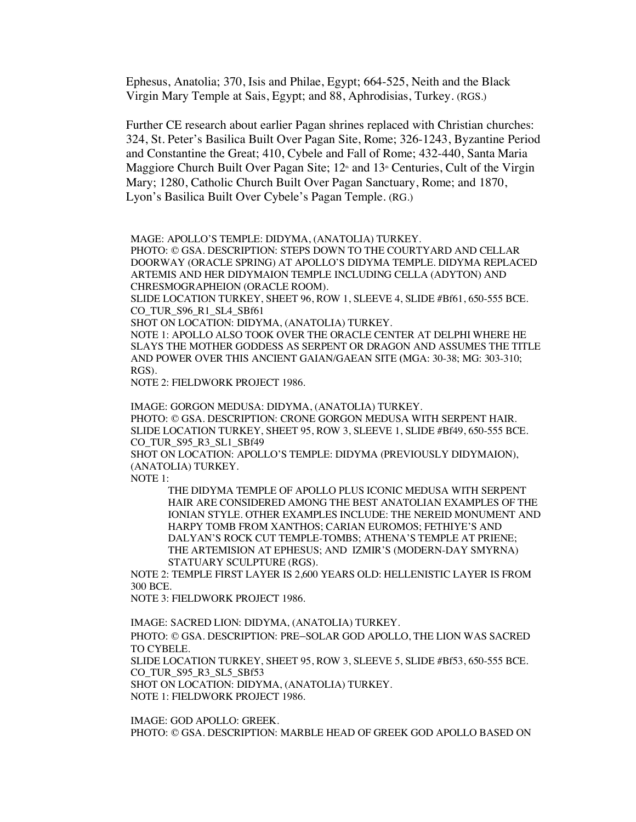Ephesus, Anatolia; 370, Isis and Philae, Egypt; 664-525, Neith and the Black Virgin Mary Temple at Sais, Egypt; and 88, Aphrodisias, Turkey. (RGS.)

Further CE research about earlier Pagan shrines replaced with Christian churches: 324, St. Peter's Basilica Built Over Pagan Site, Rome; 326-1243, Byzantine Period and Constantine the Great; 410, Cybele and Fall of Rome; 432-440, Santa Maria Maggiore Church Built Over Pagan Site;  $12<sup>*</sup>$  and  $13<sup>*</sup>$  Centuries, Cult of the Virgin Mary; 1280, Catholic Church Built Over Pagan Sanctuary, Rome; and 1870, Lyon's Basilica Built Over Cybele's Pagan Temple. (RG.)

MAGE: APOLLO'S TEMPLE: DIDYMA, (ANATOLIA) TURKEY.

PHOTO: © GSA. DESCRIPTION: STEPS DOWN TO THE COURTYARD AND CELLAR DOORWAY (ORACLE SPRING) AT APOLLO'S DIDYMA TEMPLE. DIDYMA REPLACED ARTEMIS AND HER DIDYMAION TEMPLE INCLUDING CELLA (ADYTON) AND CHRESMOGRAPHEION (ORACLE ROOM).

SLIDE LOCATION TURKEY, SHEET 96, ROW 1, SLEEVE 4, SLIDE #Bf61, 650-555 BCE. CO\_TUR\_S96\_R1\_SL4\_SBf61

SHOT ON LOCATION: DIDYMA, (ANATOLIA) TURKEY.

NOTE 1: APOLLO ALSO TOOK OVER THE ORACLE CENTER AT DELPHI WHERE HE SLAYS THE MOTHER GODDESS AS SERPENT OR DRAGON AND ASSUMES THE TITLE AND POWER OVER THIS ANCIENT GAIAN/GAEAN SITE **(**MGA: 30-38; MG: 303-310; RGS).

NOTE 2: FIELDWORK PROJECT 1986.

IMAGE: GORGON MEDUSA: DIDYMA, (ANATOLIA) TURKEY. PHOTO: © GSA. DESCRIPTION: CRONE GORGON MEDUSA WITH SERPENT HAIR. SLIDE LOCATION TURKEY, SHEET 95, ROW 3, SLEEVE 1, SLIDE #Bf49, 650-555 BCE. CO TUR S95 R3 SL1 SBf49

SHOT ON LOCATION: APOLLO'S TEMPLE: DIDYMA (PREVIOUSLY DIDYMAION), (ANATOLIA) TURKEY.

NOTE 1:

THE DIDYMA TEMPLE OF APOLLO PLUS ICONIC MEDUSA WITH SERPENT HAIR ARE CONSIDERED AMONG THE BEST ANATOLIAN EXAMPLES OF THE IONIAN STYLE. OTHER EXAMPLES INCLUDE: THE NEREID MONUMENT AND HARPY TOMB FROM XANTHOS; CARIAN EUROMOS; FETHIYE'S AND DALYAN'S ROCK CUT TEMPLE-TOMBS; ATHENA'S TEMPLE AT PRIENE; THE ARTEMISION AT EPHESUS; AND IZMIR'S (MODERN-DAY SMYRNA) STATUARY SCULPTURE (RGS).

NOTE 2: TEMPLE FIRST LAYER IS 2,600 YEARS OLD: HELLENISTIC LAYER IS FROM 300 BCE.

NOTE 3: FIELDWORK PROJECT 1986.

IMAGE: SACRED LION: DIDYMA, (ANATOLIA) TURKEY.

PHOTO: © GSA. DESCRIPTION: PRE–SOLAR GOD APOLLO, THE LION WAS SACRED TO CYBELE.

SLIDE LOCATION TURKEY, SHEET 95, ROW 3, SLEEVE 5, SLIDE #Bf53, 650-555 BCE. CO\_TUR\_S95\_R3\_SL5\_SBf53

SHOT ON LOCATION: DIDYMA, (ANATOLIA) TURKEY.

NOTE 1: FIELDWORK PROJECT 1986.

IMAGE: GOD APOLLO: GREEK. PHOTO: © GSA. DESCRIPTION: MARBLE HEAD OF GREEK GOD APOLLO BASED ON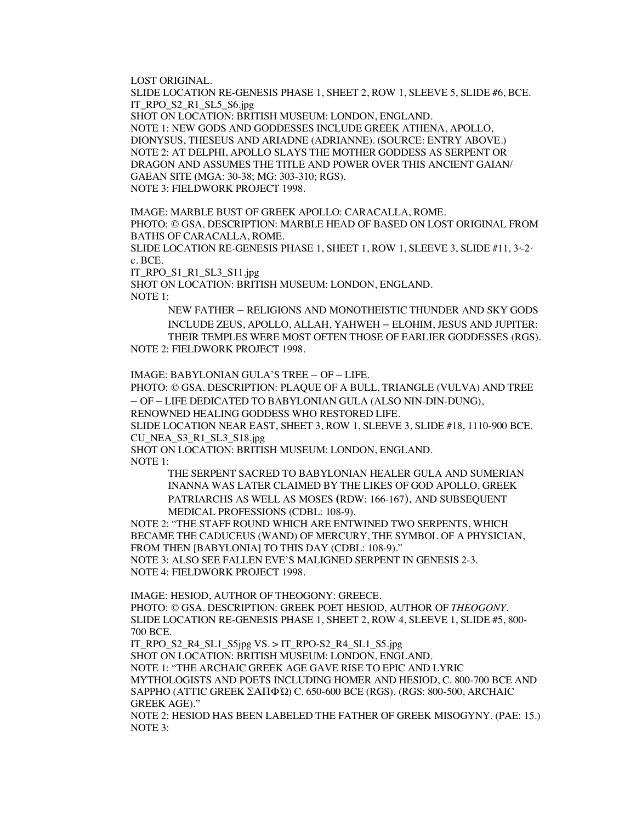LOST ORIGINAL.

SLIDE LOCATION RE-GENESIS PHASE 1, SHEET 2, ROW 1, SLEEVE 5, SLIDE #6, BCE. IT\_RPO\_S2\_R1\_SL5\_S6.jpg

SHOT ON LOCATION: BRITISH MUSEUM: LONDON, ENGLAND. NOTE 1: NEW GODS AND GODDESSES INCLUDE GREEK ATHENA, APOLLO, DIONYSUS, THESEUS AND ARIADNE (ADRIANNE). (SOURCE: ENTRY ABOVE.) NOTE 2: AT DELPHI, APOLLO SLAYS THE MOTHER GODDESS AS SERPENT OR DRAGON AND ASSUMES THE TITLE AND POWER OVER THIS ANCIENT GAIAN/ GAEAN SITE **(**MGA: 30-38; MG: 303-310; RGS). NOTE 3: FIELDWORK PROJECT 1998.

IMAGE: MARBLE BUST OF GREEK APOLLO: CARACALLA, ROME. PHOTO: © GSA. DESCRIPTION: MARBLE HEAD OF BASED ON LOST ORIGINAL FROM BATHS OF CARACALLA, ROME.

SLIDE LOCATION RE-GENESIS PHASE 1, SHEET 1, ROW 1, SLEEVE 3, SLIDE  $#11, 3-2$ c. BCE.

IT\_RPO\_S1\_R1\_SL3\_S11.jpg

SHOT ON LOCATION: BRITISH MUSEUM: LONDON, ENGLAND. NOTE 1:

NEW FATHER – RELIGIONS AND MONOTHEISTIC THUNDER AND SKY GODS INCLUDE ZEUS, APOLLO, ALLAH, YAHWEH – ELOHIM, JESUS AND JUPITER: THEIR TEMPLES WERE MOST OFTEN THOSE OF EARLIER GODDESSES (RGS). NOTE 2: FIELDWORK PROJECT 1998.

IMAGE: BABYLONIAN GULA'S TREE – OF – LIFE.

PHOTO: © GSA. DESCRIPTION: PLAQUE OF A BULL, TRIANGLE (VULVA) AND TREE – OF – LIFE DEDICATED TO BABYLONIAN GULA (ALSO NIN-DIN-DUNG),

RENOWNED HEALING GODDESS WHO RESTORED LIFE.

SLIDE LOCATION NEAR EAST, SHEET 3, ROW 1, SLEEVE 3, SLIDE #18, 1110-900 BCE. CU\_NEA\_S3\_R1\_SL3\_S18.jpg

SHOT ON LOCATION: BRITISH MUSEUM: LONDON, ENGLAND. NOTE 1:

> THE SERPENT SACRED TO BABYLONIAN HEALER GULA AND SUMERIAN INANNA WAS LATER CLAIMED BY THE LIKES OF GOD APOLLO, GREEK PATRIARCHS AS WELL AS MOSES **(**RDW: 166-167), AND SUBSEQUENT MEDICAL PROFESSIONS (CDBL: 108-9).

NOTE 2: "THE STAFF ROUND WHICH ARE ENTWINED TWO SERPENTS, WHICH BECAME THE CADUCEUS (WAND) OF MERCURY, THE SYMBOL OF A PHYSICIAN, FROM THEN [BABYLONIA] TO THIS DAY (CDBL: 108-9)." NOTE 3: ALSO SEE FALLEN EVE'S MALIGNED SERPENT IN GENESIS 2-3.

NOTE 4: FIELDWORK PROJECT 1998.

IMAGE: HESIOD, AUTHOR OF THEOGONY: GREECE. PHOTO: © GSA. DESCRIPTION: GREEK POET HESIOD, AUTHOR OF *THEOGONY*. SLIDE LOCATION RE-GENESIS PHASE 1, SHEET 2, ROW 4, SLEEVE 1, SLIDE #5, 800- 700 BCE.

IT\_RPO\_S2\_R4\_SL1\_S5jpg VS. > IT\_RPO-S2\_R4\_SL1\_S5.jpg SHOT ON LOCATION: BRITISH MUSEUM: LONDON, ENGLAND. NOTE 1: "THE ARCHAIC GREEK AGE GAVE RISE TO EPIC AND LYRIC MYTHOLOGISTS AND POETS INCLUDING HOMER AND HESIOD, C. 800-700 BCE AND SAPPHO (ATTIC GREEK ΣΑΠΦΏ) C. 650-600 BCE (RGS). (RGS: 800-500, ARCHAIC GREEK AGE)."

NOTE 2: HESIOD HAS BEEN LABELED THE FATHER OF GREEK MISOGYNY. (PAE: 15.) NOTE 3: